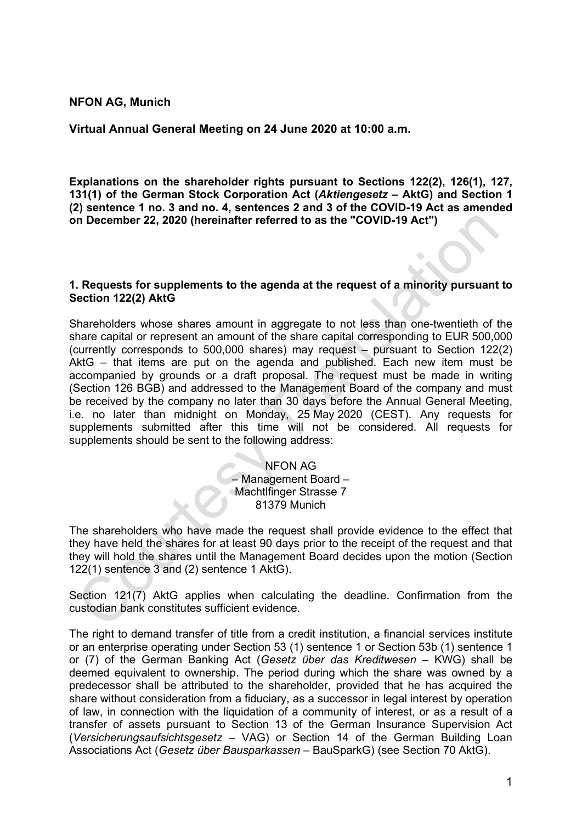## **NFON AG, Munich**

**Virtual Annual General Meeting on 24 June 2020 at 10:00 a.m.** 

**Explanations on the shareholder rights pursuant to Sections 122(2), 126(1), 127, 131(1) of the German Stock Corporation Act (***Aktiengesetz* **– AktG) and Section 1 (2) sentence 1 no. 3 and no. 4, sentences 2 and 3 of the COVID-19 Act as amended on December 22, 2020 (hereinafter referred to as the "COVID-19 Act")**

### **1. Requests for supplements to the agenda at the request of a minority pursuant to Section 122(2) AktG**

Shareholders whose shares amount in aggregate to not less than one-twentieth of the share capital or represent an amount of the share capital corresponding to EUR 500,000 (currently corresponds to 500,000 shares) may request – pursuant to Section 122(2) AktG – that items are put on the agenda and published. Each new item must be accompanied by grounds or a draft proposal. The request must be made in writing (Section 126 BGB) and addressed to the Management Board of the company and must be received by the company no later than 30 days before the Annual General Meeting, i.e. no later than midnight on Monday, 25 May 2020 (CEST). Any requests for supplements submitted after this time will not be considered. All requests for supplements should be sent to the following address:

> NFON AG – Management Board – Machtlfinger Strasse 7 81379 Munich

The shareholders who have made the request shall provide evidence to the effect that they have held the shares for at least 90 days prior to the receipt of the request and that they will hold the shares until the Management Board decides upon the motion (Section 122(1) sentence 3 and (2) sentence 1 AktG).

Section 121(7) AktG applies when calculating the deadline. Confirmation from the custodian bank constitutes sufficient evidence.

The right to demand transfer of title from a credit institution, a financial services institute or an enterprise operating under Section 53 (1) sentence 1 or Section 53b (1) sentence 1 or (7) of the German Banking Act (*Gesetz über das Kreditwesen* – KWG) shall be deemed equivalent to ownership. The period during which the share was owned by a predecessor shall be attributed to the shareholder, provided that he has acquired the share without consideration from a fiduciary, as a successor in legal interest by operation of law, in connection with the liquidation of a community of interest, or as a result of a transfer of assets pursuant to Section 13 of the German Insurance Supervision Act (*Versicherungsaufsichtsgesetz* – VAG) or Section 14 of the German Building Loan Associations Act (*Gesetz über Bausparkassen* – BauSparkG) (see Section 70 AktG).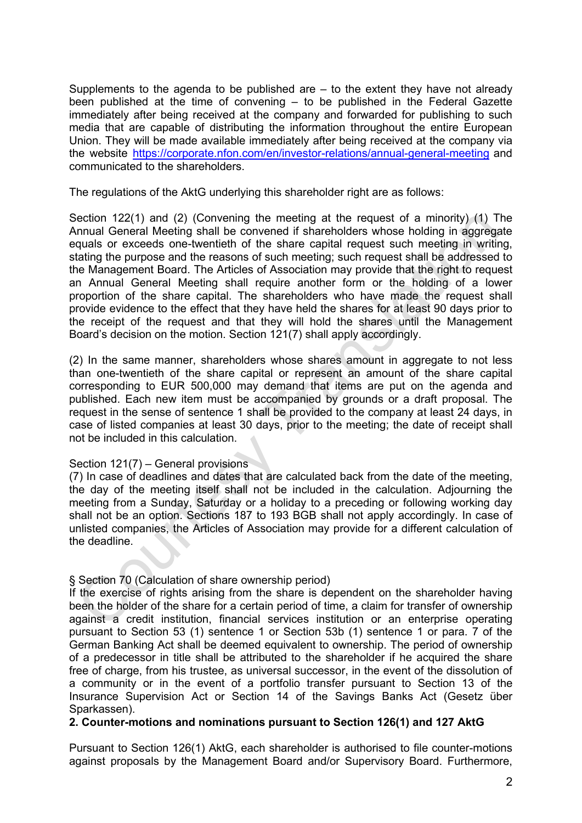Supplements to the agenda to be published are – to the extent they have not already been published at the time of convening – to be published in the Federal Gazette immediately after being received at the company and forwarded for publishing to such media that are capable of distributing the information throughout the entire European Union. They will be made available immediately after being received at the company via the website [https://corporate.nfon.com/en/investor-relations/annual-general-meeting](https://corporate.nfon.com/de/investor-relations/hauptversammlung/) and communicated to the shareholders.

The regulations of the AktG underlying this shareholder right are as follows:

Section 122(1) and (2) (Convening the meeting at the request of a minority) (1) The Annual General Meeting shall be convened if shareholders whose holding in aggregate equals or exceeds one-twentieth of the share capital request such meeting in writing, stating the purpose and the reasons of such meeting; such request shall be addressed to the Management Board. The Articles of Association may provide that the right to request an Annual General Meeting shall require another form or the holding of a lower proportion of the share capital. The shareholders who have made the request shall provide evidence to the effect that they have held the shares for at least 90 days prior to the receipt of the request and that they will hold the shares until the Management Board's decision on the motion. Section 121(7) shall apply accordingly.

(2) In the same manner, shareholders whose shares amount in aggregate to not less than one-twentieth of the share capital or represent an amount of the share capital corresponding to EUR 500,000 may demand that items are put on the agenda and published. Each new item must be accompanied by grounds or a draft proposal. The request in the sense of sentence 1 shall be provided to the company at least 24 days, in case of listed companies at least 30 days, prior to the meeting; the date of receipt shall not be included in this calculation.

# Section 121(7) – General provisions

(7) In case of deadlines and dates that are calculated back from the date of the meeting, the day of the meeting itself shall not be included in the calculation. Adjourning the meeting from a Sunday, Saturday or a holiday to a preceding or following working day shall not be an option. Sections 187 to 193 BGB shall not apply accordingly. In case of unlisted companies, the Articles of Association may provide for a different calculation of the deadline.

# § Section 70 (Calculation of share ownership period)

If the exercise of rights arising from the share is dependent on the shareholder having been the holder of the share for a certain period of time, a claim for transfer of ownership against a credit institution, financial services institution or an enterprise operating pursuant to Section 53 (1) sentence 1 or Section 53b (1) sentence 1 or para. 7 of the German Banking Act shall be deemed equivalent to ownership. The period of ownership of a predecessor in title shall be attributed to the shareholder if he acquired the share free of charge, from his trustee, as universal successor, in the event of the dissolution of a community or in the event of a portfolio transfer pursuant to Section 13 of the Insurance Supervision Act or Section 14 of the Savings Banks Act (Gesetz über Sparkassen).

# **2. Counter-motions and nominations pursuant to Section 126(1) and 127 AktG**

Pursuant to Section 126(1) AktG, each shareholder is authorised to file counter-motions against proposals by the Management Board and/or Supervisory Board. Furthermore,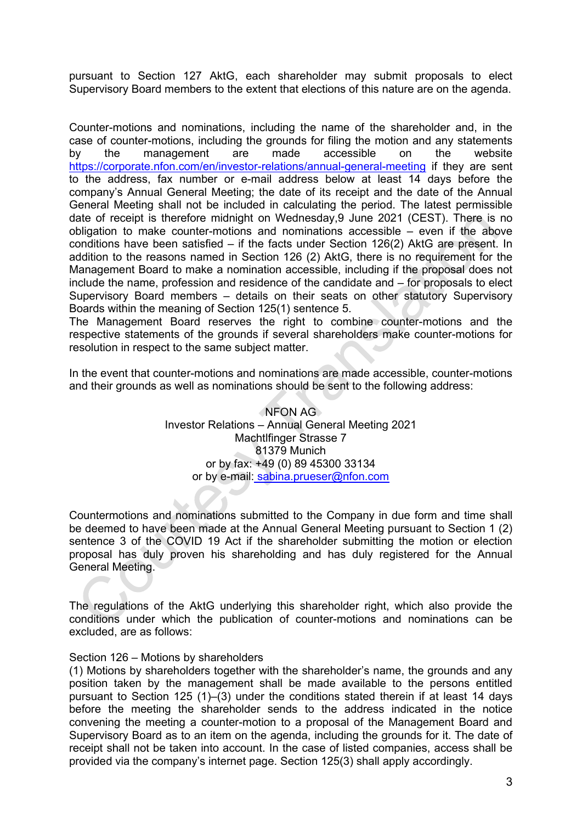pursuant to Section 127 AktG, each shareholder may submit proposals to elect Supervisory Board members to the extent that elections of this nature are on the agenda.

Counter-motions and nominations, including the name of the shareholder and, in the case of counter-motions, including the grounds for filing the motion and any statements by the management are made accessible on the website [https://corporate.nfon.com/en/investor-relations/annual-general-meeting](https://corporate.nfon.com/de/investor-relations/hauptversammlung/) if they are sent to the address, fax number or e-mail address below at least 14 days before the company's Annual General Meeting; the date of its receipt and the date of the Annual General Meeting shall not be included in calculating the period. The latest permissible date of receipt is therefore midnight on Wednesday,9 June 2021 (CEST). There is no obligation to make counter-motions and nominations accessible – even if the above conditions have been satisfied – if the facts under Section 126(2) AktG are present. In addition to the reasons named in Section 126 (2) AktG, there is no requirement for the Management Board to make a nomination accessible, including if the proposal does not include the name, profession and residence of the candidate and – for proposals to elect Supervisory Board members – details on their seats on other statutory Supervisory Boards within the meaning of Section 125(1) sentence 5.

The Management Board reserves the right to combine counter-motions and the respective statements of the grounds if several shareholders make counter-motions for resolution in respect to the same subject matter.

In the event that counter-motions and nominations are made accessible, counter-motions and their grounds as well as nominations should be sent to the following address:

> NFON AG Investor Relations – Annual General Meeting 2021 Machtlfinger Strasse 7 81379 Munich or by fax: +49 (0) 89 45300 33134 or by e-mail: [sabina.prueser@nfon.com](mailto:sabina.prueser@nfon.com)

Countermotions and nominations submitted to the Company in due form and time shall be deemed to have been made at the Annual General Meeting pursuant to Section 1 (2) sentence 3 of the COVID 19 Act if the shareholder submitting the motion or election proposal has duly proven his shareholding and has duly registered for the Annual General Meeting.

The regulations of the AktG underlying this shareholder right, which also provide the conditions under which the publication of counter-motions and nominations can be excluded, are as follows:

#### Section 126 – Motions by shareholders

(1) Motions by shareholders together with the shareholder's name, the grounds and any position taken by the management shall be made available to the persons entitled pursuant to Section 125 (1)–(3) under the conditions stated therein if at least 14 days before the meeting the shareholder sends to the address indicated in the notice convening the meeting a counter-motion to a proposal of the Management Board and Supervisory Board as to an item on the agenda, including the grounds for it. The date of receipt shall not be taken into account. In the case of listed companies, access shall be provided via the company's internet page. Section 125(3) shall apply accordingly.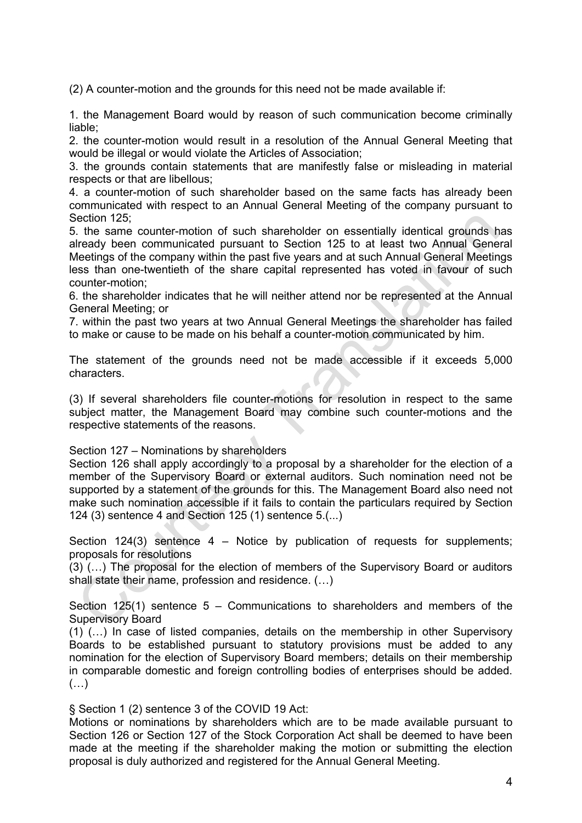(2) A counter-motion and the grounds for this need not be made available if:

1. the Management Board would by reason of such communication become criminally liable;

2. the counter-motion would result in a resolution of the Annual General Meeting that would be illegal or would violate the Articles of Association;

3. the grounds contain statements that are manifestly false or misleading in material respects or that are libellous;

4. a counter-motion of such shareholder based on the same facts has already been communicated with respect to an Annual General Meeting of the company pursuant to Section 125;

5. the same counter-motion of such shareholder on essentially identical grounds has already been communicated pursuant to Section 125 to at least two Annual General Meetings of the company within the past five years and at such Annual General Meetings less than one-twentieth of the share capital represented has voted in favour of such counter-motion;

6. the shareholder indicates that he will neither attend nor be represented at the Annual General Meeting; or

7. within the past two years at two Annual General Meetings the shareholder has failed to make or cause to be made on his behalf a counter-motion communicated by him.

The statement of the grounds need not be made accessible if it exceeds 5,000 characters.

(3) If several shareholders file counter-motions for resolution in respect to the same subject matter, the Management Board may combine such counter-motions and the respective statements of the reasons.

Section 127 – Nominations by shareholders

Section 126 shall apply accordingly to a proposal by a shareholder for the election of a member of the Supervisory Board or external auditors. Such nomination need not be supported by a statement of the grounds for this. The Management Board also need not make such nomination accessible if it fails to contain the particulars required by Section 124 (3) sentence 4 and Section 125 (1) sentence 5.(...)

Section 124(3) sentence 4 – Notice by publication of requests for supplements; proposals for resolutions

(3) (…) The proposal for the election of members of the Supervisory Board or auditors shall state their name, profession and residence. (…)

Section 125(1) sentence 5 – Communications to shareholders and members of the Supervisory Board

(1) (…) In case of listed companies, details on the membership in other Supervisory Boards to be established pursuant to statutory provisions must be added to any nomination for the election of Supervisory Board members; details on their membership in comparable domestic and foreign controlling bodies of enterprises should be added. (…)

§ Section 1 (2) sentence 3 of the COVID 19 Act:

Motions or nominations by shareholders which are to be made available pursuant to Section 126 or Section 127 of the Stock Corporation Act shall be deemed to have been made at the meeting if the shareholder making the motion or submitting the election proposal is duly authorized and registered for the Annual General Meeting.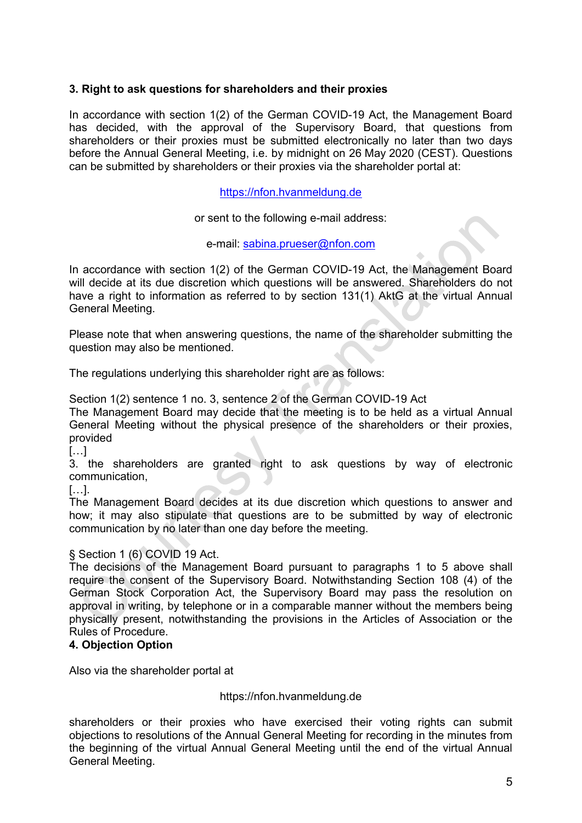# **3. Right to ask questions for shareholders and their proxies**

In accordance with section 1(2) of the German COVID-19 Act, the Management Board has decided, with the approval of the Supervisory Board, that questions from shareholders or their proxies must be submitted electronically no later than two days before the Annual General Meeting, i.e. by midnight on 26 May 2020 (CEST). Questions can be submitted by shareholders or their proxies via the shareholder portal at:

[https://nfon.hvanmeldung.de](https://nfon.hvanmeldung.de/)

or sent to the following e-mail address:

e-mail: [sabina.prueser@nfon.com](mailto:sabina.prueser@nfon.com)

In accordance with section 1(2) of the German COVID-19 Act, the Management Board will decide at its due discretion which questions will be answered. Shareholders do not have a right to information as referred to by section 131(1) AktG at the virtual Annual General Meeting.

Please note that when answering questions, the name of the shareholder submitting the question may also be mentioned.

The regulations underlying this shareholder right are as follows:

Section 1(2) sentence 1 no. 3, sentence 2 of the German COVID-19 Act

The Management Board may decide that the meeting is to be held as a virtual Annual General Meeting without the physical presence of the shareholders or their proxies, provided

 $\left[\ldots\right]$ 

3. the shareholders are granted right to ask questions by way of electronic communication,

[…].

The Management Board decides at its due discretion which questions to answer and how; it may also stipulate that questions are to be submitted by way of electronic communication by no later than one day before the meeting.

## § Section 1 (6) COVID 19 Act.

The decisions of the Management Board pursuant to paragraphs 1 to 5 above shall require the consent of the Supervisory Board. Notwithstanding Section 108 (4) of the German Stock Corporation Act, the Supervisory Board may pass the resolution on approval in writing, by telephone or in a comparable manner without the members being physically present, notwithstanding the provisions in the Articles of Association or the Rules of Procedure.

## **4. Objection Option**

Also via the shareholder portal at

## https://nfon.hvanmeldung.de

shareholders or their proxies who have exercised their voting rights can submit objections to resolutions of the Annual General Meeting for recording in the minutes from the beginning of the virtual Annual General Meeting until the end of the virtual Annual General Meeting.